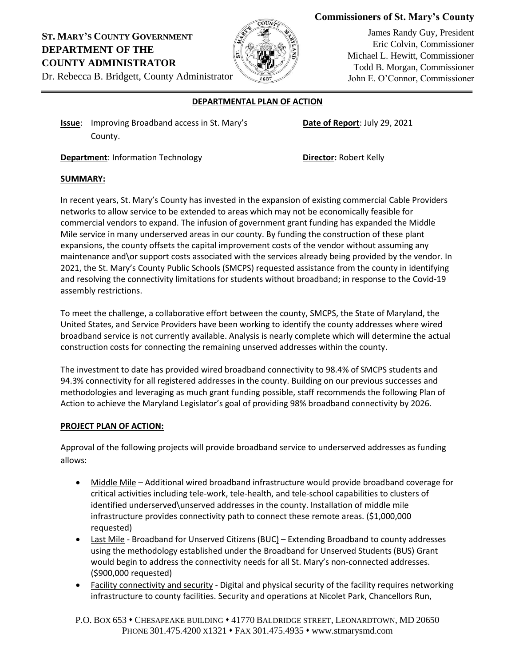# **Commissioners of St. Mary's County**

# **ST. MARY'S COUNTY GOVERNMENT DEPARTMENT OF THE COUNTY ADMINISTRATOR**



James Randy Guy, President Eric Colvin, Commissioner Michael L. Hewitt, Commissioner Todd B. Morgan, Commissioner John E. O'Connor, Commissioner

Dr. Rebecca B. Bridgett, County Administrator

## **DEPARTMENTAL PLAN OF ACTION**

**Issue:** Improving Broadband access in St. Mary's **Date of Report:** July 29, 2021 County.

**Department:** Information Technology **Director:** Robert Kelly

## **SUMMARY:**

In recent years, St. Mary's County has invested in the expansion of existing commercial Cable Providers networks to allow service to be extended to areas which may not be economically feasible for commercial vendors to expand. The infusion of government grant funding has expanded the Middle Mile service in many underserved areas in our county. By funding the construction of these plant expansions, the county offsets the capital improvement costs of the vendor without assuming any maintenance and\or support costs associated with the services already being provided by the vendor. In 2021, the St. Mary's County Public Schools (SMCPS) requested assistance from the county in identifying and resolving the connectivity limitations for students without broadband; in response to the Covid-19 assembly restrictions.

To meet the challenge, a collaborative effort between the county, SMCPS, the State of Maryland, the United States, and Service Providers have been working to identify the county addresses where wired broadband service is not currently available. Analysis is nearly complete which will determine the actual construction costs for connecting the remaining unserved addresses within the county.

The investment to date has provided wired broadband connectivity to 98.4% of SMCPS students and 94.3% connectivity for all registered addresses in the county. Building on our previous successes and methodologies and leveraging as much grant funding possible, staff recommends the following Plan of Action to achieve the Maryland Legislator's goal of providing 98% broadband connectivity by 2026.

## **PROJECT PLAN OF ACTION:**

Approval of the following projects will provide broadband service to underserved addresses as funding allows:

- Middle Mile Additional wired broadband infrastructure would provide broadband coverage for critical activities including tele-work, tele-health, and tele-school capabilities to clusters of identified underserved\unserved addresses in the county. Installation of middle mile infrastructure provides connectivity path to connect these remote areas. (\$1,000,000 requested)
- Last Mile Broadband for Unserved Citizens (BUC) Extending Broadband to county addresses using the methodology established under the Broadband for Unserved Students (BUS) Grant would begin to address the connectivity needs for all St. Mary's non-connected addresses. (\$900,000 requested)
- Facility connectivity and security Digital and physical security of the facility requires networking infrastructure to county facilities. Security and operations at Nicolet Park, Chancellors Run,

P.O. BOX 653 • CHESAPEAKE BUILDING • 41770 BALDRIDGE STREET, LEONARDTOWN, MD 20650 PHONE 301.475.4200 X1321 • FAX 301.475.4935 • www.stmarysmd.com